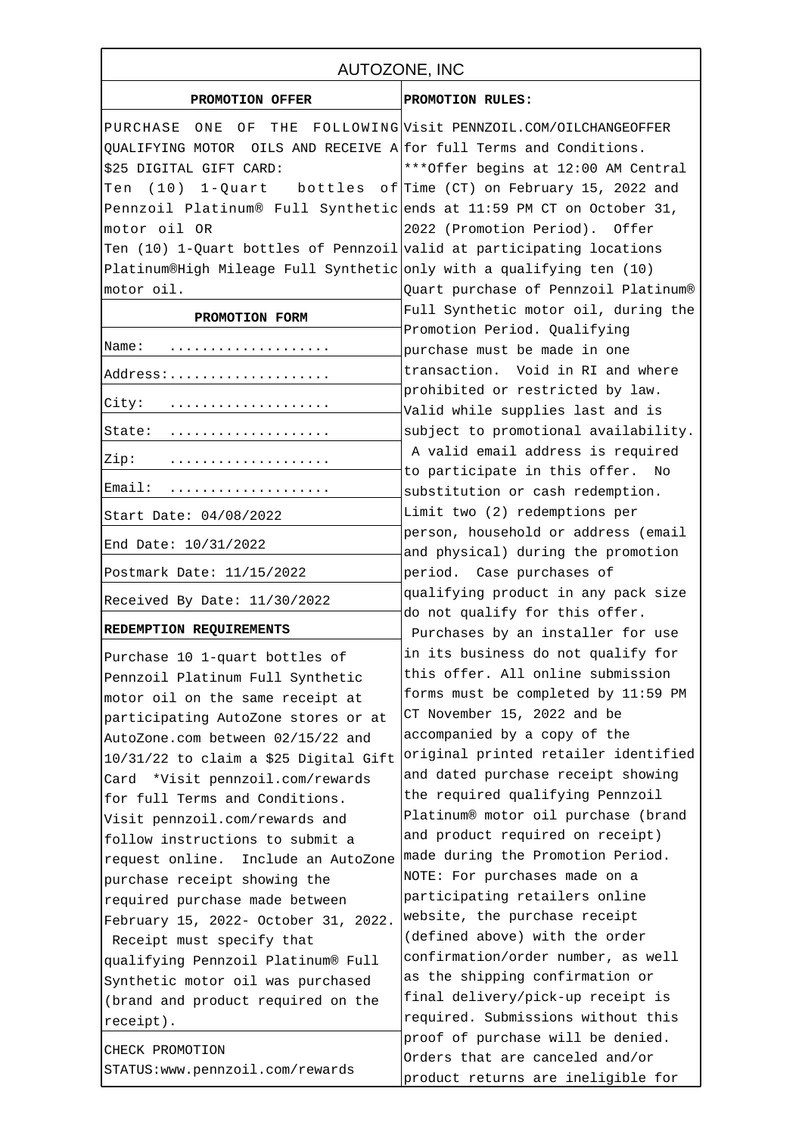| AUTOZONE, INC                                                              |                                                                           |
|----------------------------------------------------------------------------|---------------------------------------------------------------------------|
| PROMOTION OFFER                                                            | PROMOTION RULES:                                                          |
| PURCHASE ONE OF<br>THE                                                     | FOLLOWING Visit PENNZOIL.COM/OILCHANGEOFFER                               |
| QUALIFYING MOTOR OILS AND RECEIVE $A$ for full Terms and Conditions.       |                                                                           |
| \$25 DIGITAL GIFT CARD:                                                    | *** Offer begins at 12:00 AM Central                                      |
| Ten (10) 1-Quart                                                           | bottles of Time (CT) on February 15, 2022 and                             |
| Pennzoil Platinum® Full Synthetic ends at 11:59 PM CT on October 31,       |                                                                           |
| motor oil OR                                                               | 2022 (Promotion Period). Offer                                            |
| Ten (10) 1-Quart bottles of Pennzoil valid at participating locations      |                                                                           |
| Platinum®High Mileage Full Synthetic only with a qualifying ten $(10)$     |                                                                           |
| motor oil.                                                                 | Quart purchase of Pennzoil Platinum®                                      |
| PROMOTION FORM                                                             | Full Synthetic motor oil, during the                                      |
|                                                                            | Promotion Period. Qualifying                                              |
| Name:                                                                      | purchase must be made in one                                              |
| Address:                                                                   | transaction. Void in RI and where                                         |
| City:                                                                      | prohibited or restricted by law.                                          |
|                                                                            | Valid while supplies last and is                                          |
| State:                                                                     | subject to promotional availability.                                      |
| Zip:                                                                       | A valid email address is required<br>to participate in this offer. No     |
| Email:                                                                     | substitution or cash redemption.                                          |
| Start Date: 04/08/2022                                                     | Limit two (2) redemptions per                                             |
| End Date: 10/31/2022                                                       | person, household or address (email<br>and physical) during the promotion |
| Postmark Date: 11/15/2022                                                  | period. Case purchases of                                                 |
| Received By Date: 11/30/2022                                               | qualifying product in any pack size                                       |
| REDEMPTION REQUIREMENTS                                                    | do not qualify for this offer.                                            |
|                                                                            | Purchases by an installer for use<br>in its business do not qualify for   |
| Purchase 10 1-quart bottles of                                             | this offer. All online submission                                         |
| Pennzoil Platinum Full Synthetic                                           | forms must be completed by 11:59 PM                                       |
| motor oil on the same receipt at                                           | CT November 15, 2022 and be                                               |
| participating AutoZone stores or at                                        | accompanied by a copy of the                                              |
| AutoZone.com between 02/15/22 and<br>10/31/22 to claim a \$25 Digital Gift | original printed retailer identified                                      |
| Card *Visit pennzoil.com/rewards                                           | and dated purchase receipt showing                                        |
| for full Terms and Conditions.                                             | the required qualifying Pennzoil                                          |
| Visit pennzoil.com/rewards and                                             | Platinum® motor oil purchase (brand                                       |
| follow instructions to submit a                                            | and product required on receipt)                                          |
| request online.<br>Include an AutoZone                                     | made during the Promotion Period.                                         |
| purchase receipt showing the                                               | NOTE: For purchases made on a                                             |
| required purchase made between                                             | participating retailers online                                            |
| February 15, 2022- October 31, 2022.                                       | website, the purchase receipt                                             |
| Receipt must specify that                                                  | (defined above) with the order                                            |
| qualifying Pennzoil Platinum® Full                                         | confirmation/order number, as well                                        |
| Synthetic motor oil was purchased                                          | as the shipping confirmation or                                           |
| (brand and product required on the                                         | final delivery/pick-up receipt is                                         |
| receipt).                                                                  | required. Submissions without this                                        |
| CHECK PROMOTION                                                            | proof of purchase will be denied.                                         |
| STATUS: www.pennzoil.com/rewards                                           | Orders that are canceled and/or                                           |
|                                                                            | product returns are ineligible for                                        |